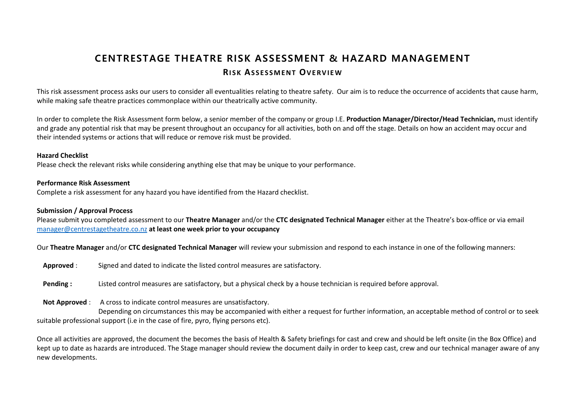# **CENTRESTAGE THEATRE R ISK ASSESSMENT & HAZARD MANAGEMENT RI S K AS S E S S M E N T OV E R V I E W**

This risk assessment process asks our users to consider all eventualities relating to theatre safety. Our aim is to reduce the occurrence of accidents that cause harm, while making safe theatre practices commonplace within our theatrically active community.

In order to complete the Risk Assessment form below, a senior member of the company or group I.E. **Production Manager/Director/Head Technician,** must identify and grade any potential risk that may be present throughout an occupancy for all activities, both on and off the stage. Details on how an accident may occur and their intended systems or actions that will reduce or remove risk must be provided.

#### **Hazard Checklist**

Please check the relevant risks while considering anything else that may be unique to your performance.

#### **Performance Risk Assessment**

Complete a risk assessment for any hazard you have identified from the Hazard checklist.

### **Submission / Approval Process**

Please submit you completed assessment to our **Theatre Manager** and/or the **CTC designated Technical Manager** either at the Theatre's box-office or via email [manager@centrestagetheatre.co.nz](mailto:manager@centrestagetheatre.co.nz) **at least one week prior to your occupancy**

Our **Theatre Manager** and/or **CTC designated Technical Manager** will review your submission and respond to each instance in one of the following manners:

- **Approved** : Signed and dated to indicate the listed control measures are satisfactory.
- **Pending :** Listed control measures are satisfactory, but a physical check by a house technician is required before approval.
- **Not Approved** : A cross to indicate control measures are unsatisfactory.

Depending on circumstances this may be accompanied with either a request for further information, an acceptable method of control or to seek suitable professional support (i.e in the case of fire, pyro, flying persons etc).

Once all activities are approved, the document the becomes the basis of Health & Safety briefings for cast and crew and should be left onsite (in the Box Office) and kept up to date as hazards are introduced. The Stage manager should review the document daily in order to keep cast, crew and our technical manager aware of any new developments.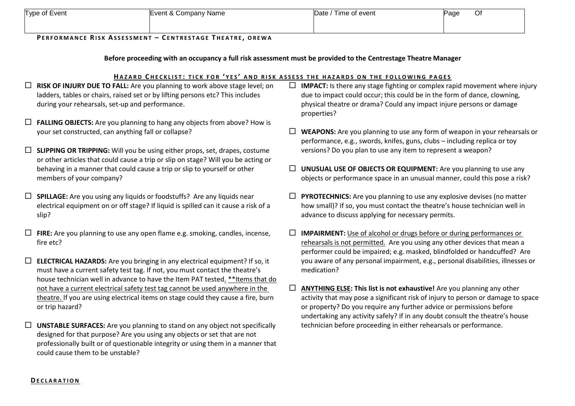| Type of Event | Event & Company Name | Date / Time of event | Page | Οf |
|---------------|----------------------|----------------------|------|----|
|               |                      |                      |      |    |

#### **PE R F O R M A N C E RI S K AS S E S S M E N T – CE N T R E S T A G E T H E A T R E , O R E W A**

### **Before proceeding with an occupancy a full risk assessment must be provided to the Centrestage Theatre Manager**

#### **HA Z A R D C H E C K L I S T : T I C K F O R ' Y E S ' A N D R I S K A S S E S S T H E H A Z A R D S O N T H E F O L L O W I N G P A G E S**

- **RISK OF INJURY DUE TO FALL:** Are you planning to work above stage level; on ladders, tables or chairs, raised set or by lifting persons etc? This includes during your rehearsals, set-up and performance.
- **FALLING OBJECTS:** Are you planning to hang any objects from above? How is your set constructed, can anything fall or collapse?
- **SLIPPING OR TRIPPING:** Will you be using either props, set, drapes, costume or other articles that could cause a trip or slip on stage? Will you be acting or behaving in a manner that could cause a trip or slip to yourself or other members of your company?
- **SPILLAGE:** Are you using any liquids or foodstuffs? Are any liquids near electrical equipment on or off stage? If liquid is spilled can it cause a risk of a slip?
- **FIRE:** Are you planning to use any open flame e.g. smoking, candles, incense, fire etc?
- **ELECTRICAL HAZARDS:** Are you bringing in any electrical equipment? If so, it must have a current safety test tag. If not, you must contact the theatre's house technician well in advance to have the Item PAT tested. \*\*Items that do not have a current electrical safety test tag cannot be used anywhere in the theatre. If you are using electrical items on stage could they cause a fire, burn or trip hazard?
- **UNSTABLE SURFACES:** Are you planning to stand on any object not specifically designed for that purpose? Are you using any objects or set that are not professionally built or of questionable integrity or using them in a manner that could cause them to be unstable?
- **IMPACT:** Is there any stage fighting or complex rapid movement where injury due to impact could occur; this could be in the form of dance, clowning, physical theatre or drama? Could any impact injure persons or damage properties?
- **WEAPONS:** Are you planning to use any form of weapon in your rehearsals or performance, e.g., swords, knifes, guns, clubs – including replica or toy versions? Do you plan to use any item to represent a weapon?
- **UNUSUAL USE OF OBJECTS OR EQUIPMENT:** Are you planning to use any objects or performance space in an unusual manner, could this pose a risk?
- **PYROTECHNICS:** Are you planning to use any explosive devises (no matter how small)? If so, you must contact the theatre's house technician well in advance to discuss applying for necessary permits.
- **IMPAIRMENT:** Use of alcohol or drugs before or during performances or rehearsals is not permitted. Are you using any other devices that mean a performer could be impaired; e.g. masked, blindfolded or handcuffed? Are you aware of any personal impairment, e.g., personal disabilities, illnesses or medication?
- **ANYTHING ELSE: This list is not exhaustive!** Are you planning any other activity that may pose a significant risk of injury to person or damage to space or property? Do you require any further advice or permissions before undertaking any activity safely? If in any doubt consult the theatre's house technician before proceeding in either rehearsals or performance.

#### **DE C L A R A T I O N**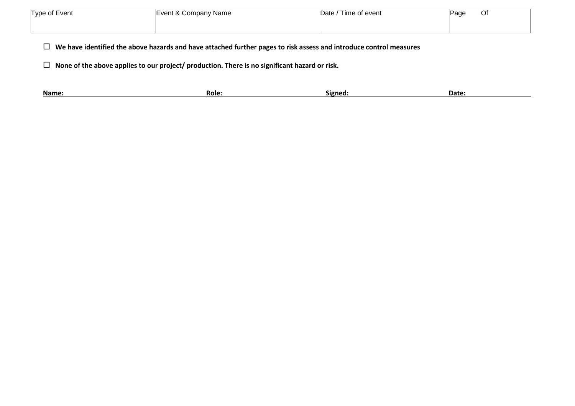| Type of Event | Event & Company Name | Date $\sqrt{ }$<br>Time of event | Page | <b>Ut</b> |
|---------------|----------------------|----------------------------------|------|-----------|
|               |                      |                                  |      |           |

**We have identified the above hazards and have attached further pages to risk assess and introduce control measures**

**None of the above applies to our project/ production. There is no significant hazard or risk.**

|  | Name: | <b>ROIG.</b> | signed. | Date: |
|--|-------|--------------|---------|-------|
|--|-------|--------------|---------|-------|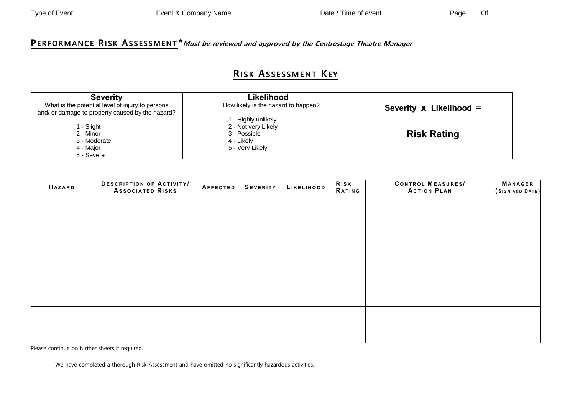| Type of Event | Event & Company Name | Date / Time of event | Page | Of |
|---------------|----------------------|----------------------|------|----|
|               |                      |                      |      |    |

## **PER FORM ANC E RI SK AS S ES SM EN T \*Must be reviewed and approved by the Centrestage Theatre Manager**

## **RI SK AS S E S SM E NT KE Y**

| <b>Severity</b><br>What is the potential level of injury to persons<br>and/ or damage to property caused by the hazard? | Likelihood<br>How likely is the hazard to happen?                                           | Severity X Likelihood = |
|-------------------------------------------------------------------------------------------------------------------------|---------------------------------------------------------------------------------------------|-------------------------|
| l - Slight<br>2 - Minor<br>3 - Moderate<br>4 - Major<br>5 - Severe                                                      | 1 - Highly unlikely<br>2 - Not very Likely<br>3 - Possible<br>4 - Likely<br>5 - Very Likely | <b>Risk Rating</b>      |

| <b>HAZARD</b> | <b>DESCRIPTION OF ACTIVITY/</b><br><b>ASSOCIATED RISKS</b> | AFFECTED | <b>SEVERITY</b> | LIKELIHOOD | Risk<br><b>RATING</b> | <b>CONTROL MEASURES/</b><br><b>ACTION PLAN</b> | <b>MANAGER</b><br>(SIGN AND DATE) |
|---------------|------------------------------------------------------------|----------|-----------------|------------|-----------------------|------------------------------------------------|-----------------------------------|
|               |                                                            |          |                 |            |                       |                                                |                                   |
|               |                                                            |          |                 |            |                       |                                                |                                   |
|               |                                                            |          |                 |            |                       |                                                |                                   |
|               |                                                            |          |                 |            |                       |                                                |                                   |
|               |                                                            |          |                 |            |                       |                                                |                                   |
|               |                                                            |          |                 |            |                       |                                                |                                   |
|               |                                                            |          |                 |            |                       |                                                |                                   |
|               |                                                            |          |                 |            |                       |                                                |                                   |
|               |                                                            |          |                 |            |                       |                                                |                                   |
|               |                                                            |          |                 |            |                       |                                                |                                   |
|               |                                                            |          |                 |            |                       |                                                |                                   |
|               |                                                            |          |                 |            |                       |                                                |                                   |

Please continue on further sheets if required.

We have completed a thorough Risk Assessment and have omitted no significantly hazardous activities.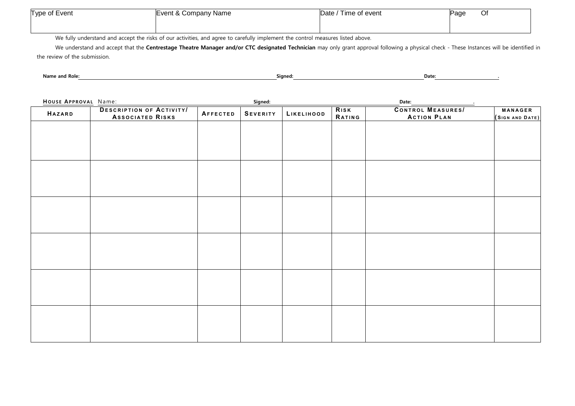| Type of Event | Event & Company Name | Date / Time of event | Page | $\sim$<br>יש |
|---------------|----------------------|----------------------|------|--------------|
|               |                      |                      |      |              |

We fully understand and accept the risks of our activities, and agree to carefully implement the control measures listed above.

We understand and accept that the Centrestage Theatre Manager and/or CTC designated Technician may only grant approval following a physical check - These Instances will be identified in the review of the submission.

Name and Role: **Date: Date: Date: ... Participally controlled a structure of the Signed: <b>Date: Date: ... Plate: ... Plate: ... Plate: ... Plate: ... Plate: ... Plate: ... Plate: ... Plate: ... Pl** 

| HOUSE APPROVAL Name: |                                                            |          | Signed:         |            | Date:<br>$\sim$ |                                                |                                   |  |
|----------------------|------------------------------------------------------------|----------|-----------------|------------|-----------------|------------------------------------------------|-----------------------------------|--|
| <b>HAZARD</b>        | <b>DESCRIPTION OF ACTIVITY/</b><br><b>ASSOCIATED RISKS</b> | AFFECTED | <b>SEVERITY</b> | LIKELIHOOD | RISK<br>RATING  | <b>CONTROL MEASURES/</b><br><b>ACTION PLAN</b> | <b>MANAGER</b><br>(SIGN AND DATE) |  |
|                      |                                                            |          |                 |            |                 |                                                |                                   |  |
|                      |                                                            |          |                 |            |                 |                                                |                                   |  |
|                      |                                                            |          |                 |            |                 |                                                |                                   |  |
|                      |                                                            |          |                 |            |                 |                                                |                                   |  |
|                      |                                                            |          |                 |            |                 |                                                |                                   |  |
|                      |                                                            |          |                 |            |                 |                                                |                                   |  |
|                      |                                                            |          |                 |            |                 |                                                |                                   |  |
|                      |                                                            |          |                 |            |                 |                                                |                                   |  |
|                      |                                                            |          |                 |            |                 |                                                |                                   |  |
|                      |                                                            |          |                 |            |                 |                                                |                                   |  |
|                      |                                                            |          |                 |            |                 |                                                |                                   |  |
|                      |                                                            |          |                 |            |                 |                                                |                                   |  |
|                      |                                                            |          |                 |            |                 |                                                |                                   |  |
|                      |                                                            |          |                 |            |                 |                                                |                                   |  |
|                      |                                                            |          |                 |            |                 |                                                |                                   |  |